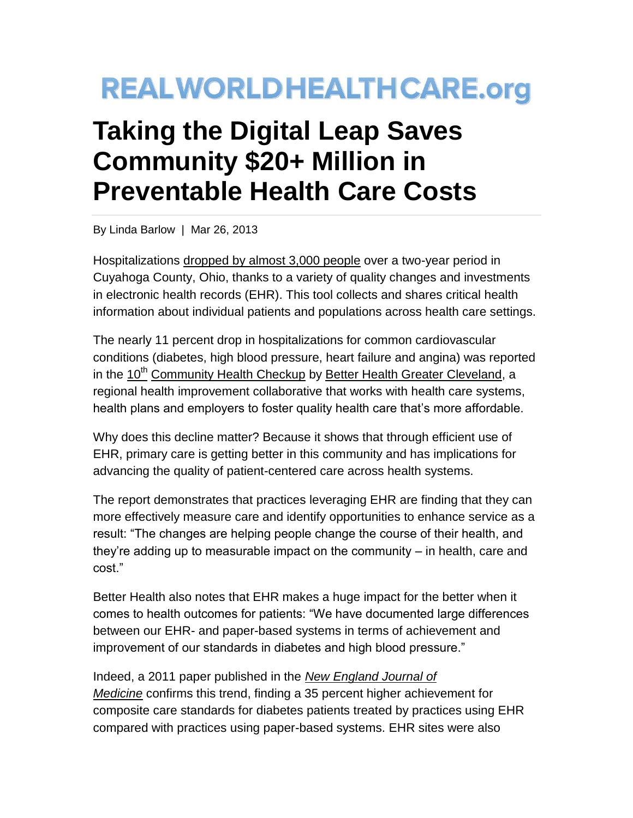## **REALWORLDHEALTHCARE.org**

## **Taking the Digital Leap Saves Community \$20+ Million in Preventable Health Care Costs**

By Linda Barlow | Mar 26, 2013

Hospitalizations [dropped by almost 3,000 people](http://www.rwjf.org/en/about-rwjf/newsroom/newsroom-content/2013/01/avoidable-hospitalizations-in-cuyahoga-county-fall-by-nearly-3-0.html) over a two-year period in Cuyahoga County, Ohio, thanks to a variety of quality changes and investments in electronic health records (EHR). This tool collects and shares critical health information about individual patients and populations across health care settings.

The nearly 11 percent drop in hospitalizations for common cardiovascular conditions (diabetes, high blood pressure, heart failure and angina) was reported in the 10<sup>th</sup> [Community Health Checkup](http://www.betterhealthcleveland.org/BetterHealth/files/81/8143a2d9-ab59-462b-a194-8e7c83c2dedd.pdf) by [Better Health Greater Cleveland,](http://www.betterhealthcleveland.org/) a regional health improvement collaborative that works with health care systems, health plans and employers to foster quality health care that's more affordable.

Why does this decline matter? Because it shows that through efficient use of EHR, primary care is getting better in this community and has implications for advancing the quality of patient-centered care across health systems.

The report demonstrates that practices leveraging EHR are finding that they can more effectively measure care and identify opportunities to enhance service as a result: "The changes are helping people change the course of their health, and they're adding up to measurable impact on the community – in health, care and cost."

Better Health also notes that EHR makes a huge impact for the better when it comes to health outcomes for patients: "We have documented large differences between our EHR- and paper-based systems in terms of achievement and improvement of our standards in diabetes and high blood pressure."

Indeed, a 2011 paper published in the *[New England Journal of](http://www.nejm.org/doi/full/10.1056/NEJMsa1102519)  [Medicine](http://www.nejm.org/doi/full/10.1056/NEJMsa1102519)* confirms this trend, finding a 35 percent higher achievement for composite care standards for diabetes patients treated by practices using EHR compared with practices using paper-based systems. EHR sites were also